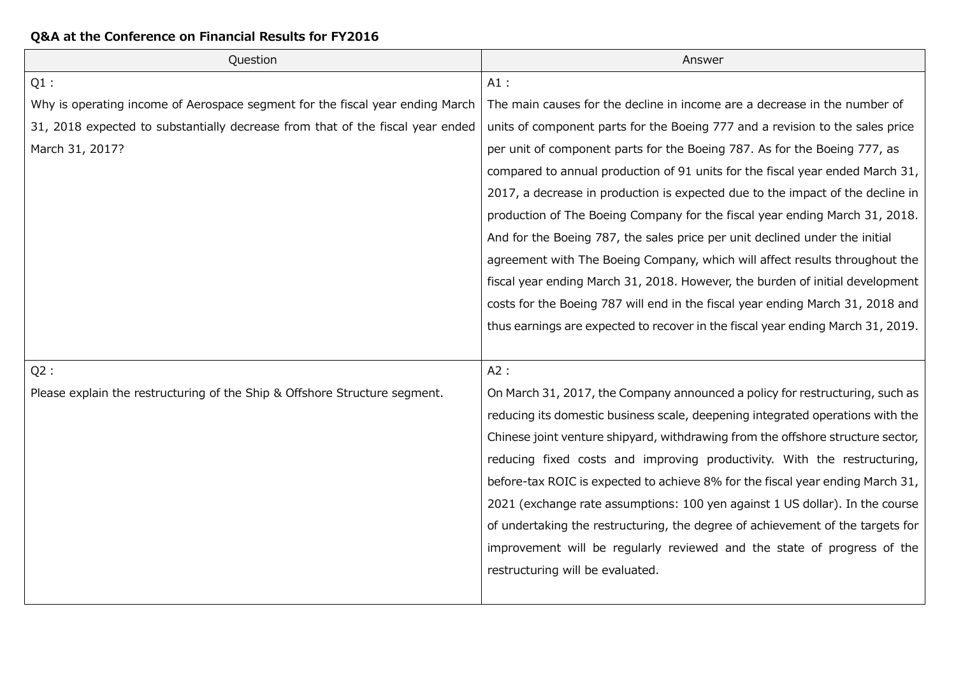| Question                                                                       | Answer                                                                          |
|--------------------------------------------------------------------------------|---------------------------------------------------------------------------------|
| $Q1$ :                                                                         | $A1$ :                                                                          |
| Why is operating income of Aerospace segment for the fiscal year ending March  | The main causes for the decline in income are a decrease in the number of       |
| 31, 2018 expected to substantially decrease from that of the fiscal year ended | units of component parts for the Boeing 777 and a revision to the sales price   |
| March 31, 2017?                                                                | per unit of component parts for the Boeing 787. As for the Boeing 777, as       |
|                                                                                | compared to annual production of 91 units for the fiscal year ended March 31,   |
|                                                                                | 2017, a decrease in production is expected due to the impact of the decline in  |
|                                                                                | production of The Boeing Company for the fiscal year ending March 31, 2018.     |
|                                                                                | And for the Boeing 787, the sales price per unit declined under the initial     |
|                                                                                | agreement with The Boeing Company, which will affect results throughout the     |
|                                                                                | fiscal year ending March 31, 2018. However, the burden of initial development   |
|                                                                                | costs for the Boeing 787 will end in the fiscal year ending March 31, 2018 and  |
|                                                                                | thus earnings are expected to recover in the fiscal year ending March 31, 2019. |
|                                                                                |                                                                                 |
| $Q2$ :                                                                         | A2:                                                                             |
| Please explain the restructuring of the Ship & Offshore Structure segment.     | On March 31, 2017, the Company announced a policy for restructuring, such as    |
|                                                                                | reducing its domestic business scale, deepening integrated operations with the  |
|                                                                                | Chinese joint venture shipyard, withdrawing from the offshore structure sector, |
|                                                                                | reducing fixed costs and improving productivity. With the restructuring,        |
|                                                                                | before-tax ROIC is expected to achieve 8% for the fiscal year ending March 31,  |
|                                                                                | 2021 (exchange rate assumptions: 100 yen against 1 US dollar). In the course    |
|                                                                                | of undertaking the restructuring, the degree of achievement of the targets for  |
|                                                                                | improvement will be regularly reviewed and the state of progress of the         |
|                                                                                | restructuring will be evaluated.                                                |
|                                                                                |                                                                                 |